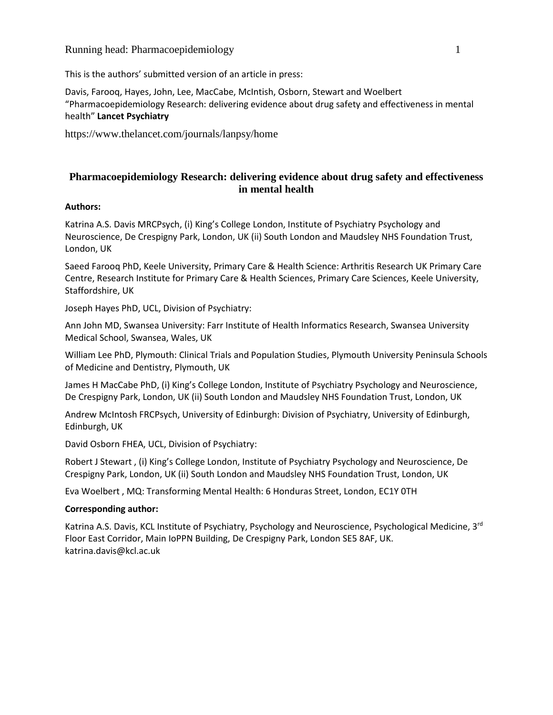## Running head: Pharmacoepidemiology 1

This is the authors' submitted version of an article in press:

Davis, Farooq, Hayes, John, Lee, MacCabe, McIntish, Osborn, Stewart and Woelbert "Pharmacoepidemiology Research: delivering evidence about drug safety and effectiveness in mental health" **Lancet Psychiatry**

https://www.thelancet.com/journals/lanpsy/home

## **Pharmacoepidemiology Research: delivering evidence about drug safety and effectiveness in mental health**

## **Authors:**

Katrina A.S. Davis MRCPsych, (i) King's College London, Institute of Psychiatry Psychology and Neuroscience, De Crespigny Park, London, UK (ii) South London and Maudsley NHS Foundation Trust, London, UK

Saeed Farooq PhD, Keele University, Primary Care & Health Science: Arthritis Research UK Primary Care Centre, Research Institute for Primary Care & Health Sciences, Primary Care Sciences, Keele University, Staffordshire, UK

Joseph Hayes PhD, UCL, Division of Psychiatry:

Ann John MD, Swansea University: Farr Institute of Health Informatics Research, Swansea University Medical School, Swansea, Wales, UK

William Lee PhD, Plymouth: Clinical Trials and Population Studies, Plymouth University Peninsula Schools of Medicine and Dentistry, Plymouth, UK

James H MacCabe PhD, (i) King's College London, Institute of Psychiatry Psychology and Neuroscience, De Crespigny Park, London, UK (ii) South London and Maudsley NHS Foundation Trust, London, UK

Andrew McIntosh FRCPsych, University of Edinburgh: Division of Psychiatry, University of Edinburgh, Edinburgh, UK

David Osborn FHEA, UCL, Division of Psychiatry:

Robert J Stewart , (i) King's College London, Institute of Psychiatry Psychology and Neuroscience, De Crespigny Park, London, UK (ii) South London and Maudsley NHS Foundation Trust, London, UK

Eva Woelbert , MQ: Transforming Mental Health: 6 Honduras Street, London, EC1Y 0TH

## **Corresponding author:**

Katrina A.S. Davis, KCL Institute of Psychiatry, Psychology and Neuroscience, Psychological Medicine, 3<sup>rd</sup> Floor East Corridor, Main IoPPN Building, De Crespigny Park, London SE5 8AF, UK. katrina.davis@kcl.ac.uk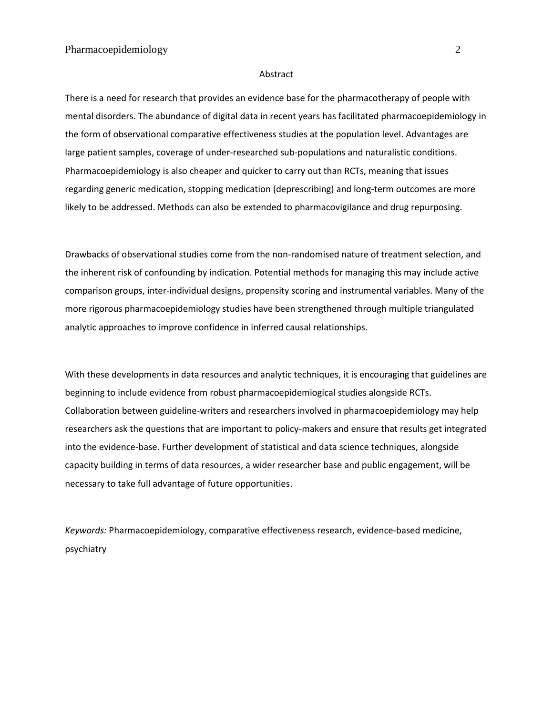#### Abstract

There is a need for research that provides an evidence base for the pharmacotherapy of people with mental disorders. The abundance of digital data in recent years has facilitated pharmacoepidemiology in the form of observational comparative effectiveness studies at the population level. Advantages are large patient samples, coverage of under-researched sub-populations and naturalistic conditions. Pharmacoepidemiology is also cheaper and quicker to carry out than RCTs, meaning that issues regarding generic medication, stopping medication (deprescribing) and long-term outcomes are more likely to be addressed. Methods can also be extended to pharmacovigilance and drug repurposing.

Drawbacks of observational studies come from the non-randomised nature of treatment selection, and the inherent risk of confounding by indication. Potential methods for managing this may include active comparison groups, inter-individual designs, propensity scoring and instrumental variables. Many of the more rigorous pharmacoepidemiology studies have been strengthened through multiple triangulated analytic approaches to improve confidence in inferred causal relationships.

With these developments in data resources and analytic techniques, it is encouraging that guidelines are beginning to include evidence from robust pharmacoepidemiogical studies alongside RCTs. Collaboration between guideline-writers and researchers involved in pharmacoepidemiology may help researchers ask the questions that are important to policy-makers and ensure that results get integrated into the evidence-base. Further development of statistical and data science techniques, alongside capacity building in terms of data resources, a wider researcher base and public engagement, will be necessary to take full advantage of future opportunities.

*Keywords:* Pharmacoepidemiology, comparative effectiveness research, evidence-based medicine, psychiatry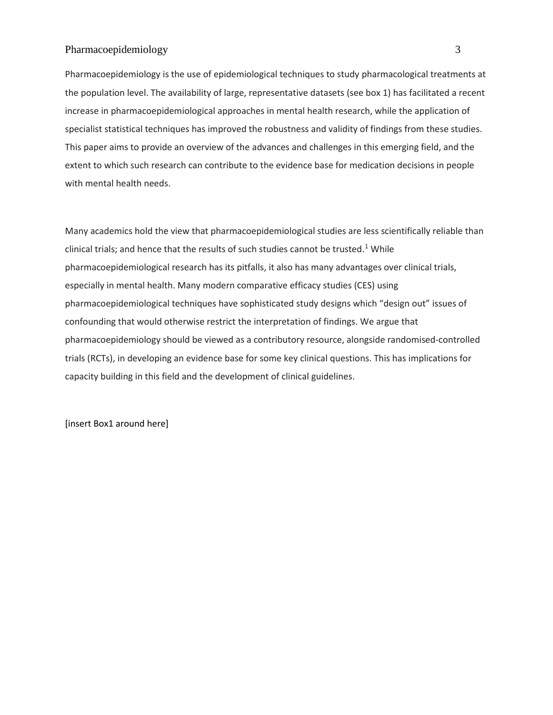Pharmacoepidemiology is the use of epidemiological techniques to study pharmacological treatments at the population level. The availability of large, representative datasets (see box 1) has facilitated a recent increase in pharmacoepidemiological approaches in mental health research, while the application of specialist statistical techniques has improved the robustness and validity of findings from these studies. This paper aims to provide an overview of the advances and challenges in this emerging field, and the extent to which such research can contribute to the evidence base for medication decisions in people with mental health needs.

Many academics hold the view that pharmacoepidemiological studies are less scientifically reliable than clinical trials; and hence that the results of such studies cannot be trusted. <sup>1</sup> While pharmacoepidemiological research has its pitfalls, it also has many advantages over clinical trials, especially in mental health. Many modern comparative efficacy studies (CES) using pharmacoepidemiological techniques have sophisticated study designs which "design out" issues of confounding that would otherwise restrict the interpretation of findings. We argue that pharmacoepidemiology should be viewed as a contributory resource, alongside randomised-controlled trials (RCTs), in developing an evidence base for some key clinical questions. This has implications for capacity building in this field and the development of clinical guidelines.

[insert Box1 around here]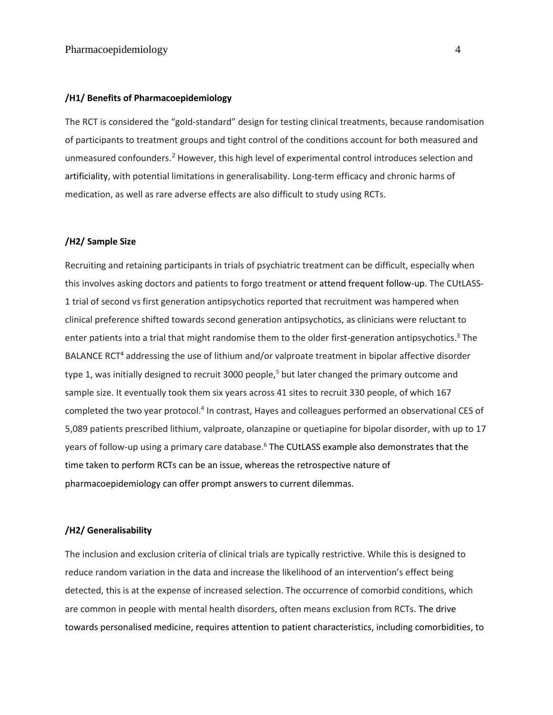#### **/H1/ Benefits of Pharmacoepidemiology**

The RCT is considered the "gold-standard" design for testing clinical treatments, because randomisation of participants to treatment groups and tight control of the conditions account for both measured and unmeasured confounders.<sup>2</sup> However, this high level of experimental control introduces selection and artificiality, with potential limitations in generalisability. Long-term efficacy and chronic harms of medication, as well as rare adverse effects are also difficult to study using RCTs.

#### **/H2/ Sample Size**

Recruiting and retaining participants in trials of psychiatric treatment can be difficult, especially when this involves asking doctors and patients to forgo treatment or attend frequent follow-up. The CUtLASS-1 trial of second vs first generation antipsychotics reported that recruitment was hampered when clinical preference shifted towards second generation antipsychotics, as clinicians were reluctant to enter patients into a trial that might randomise them to the older first-generation antipsychotics. <sup>3</sup> The BALANCE RCT<sup>4</sup> addressing the use of lithium and/or valproate treatment in bipolar affective disorder type 1, was initially designed to recruit 3000 people,<sup>5</sup> but later changed the primary outcome and sample size. It eventually took them six years across 41 sites to recruit 330 people, of which 167 completed the two year protocol.<sup>4</sup> In contrast, Hayes and colleagues performed an observational CES of 5,089 patients prescribed lithium, valproate, olanzapine or quetiapine for bipolar disorder, with up to 17 years of follow-up using a primary care database.<sup>6</sup> The CUtLASS example also demonstrates that the time taken to perform RCTs can be an issue, whereas the retrospective nature of pharmacoepidemiology can offer prompt answers to current dilemmas.

#### **/H2/ Generalisability**

The inclusion and exclusion criteria of clinical trials are typically restrictive. While this is designed to reduce random variation in the data and increase the likelihood of an intervention's effect being detected, this is at the expense of increased selection. The occurrence of comorbid conditions, which are common in people with mental health disorders, often means exclusion from RCTs. The drive towards personalised medicine, requires attention to patient characteristics, including comorbidities, to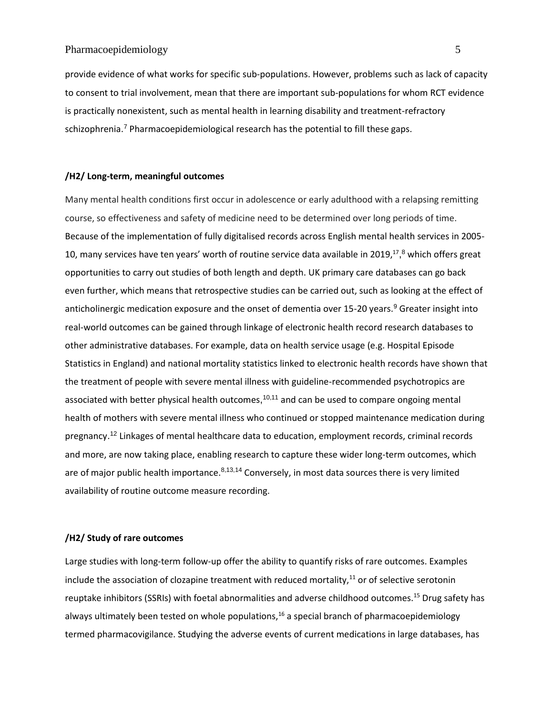provide evidence of what works for specific sub-populations. However, problems such as lack of capacity to consent to trial involvement, mean that there are important sub-populations for whom RCT evidence is practically nonexistent, such as mental health in learning disability and treatment-refractory schizophrenia.<sup>7</sup> Pharmacoepidemiological research has the potential to fill these gaps.

#### **/H2/ Long-term, meaningful outcomes**

Many mental health conditions first occur in adolescence or early adulthood with a relapsing remitting course, so effectiveness and safety of medicine need to be determined over long periods of time. Because of the implementation of fully digitalised records across English mental health services in 2005- 10, many services have ten years' worth of routine service data available in 2019,<sup>17</sup>,<sup>8</sup> which offers great opportunities to carry out studies of both length and depth. UK primary care databases can go back even further, which means that retrospective studies can be carried out, such as looking at the effect of anticholinergic medication exposure and the onset of dementia over 15-20 years. <sup>9</sup> Greater insight into real-world outcomes can be gained through linkage of electronic health record research databases to other administrative databases. For example, data on health service usage (e.g. Hospital Episode Statistics in England) and national mortality statistics linked to electronic health records have shown that the treatment of people with severe mental illness with guideline-recommended psychotropics are associated with better physical health outcomes,<sup>10,11</sup> and can be used to compare ongoing mental health of mothers with severe mental illness who continued or stopped maintenance medication during pregnancy. <sup>12</sup> Linkages of mental healthcare data to education, employment records, criminal records and more, are now taking place, enabling research to capture these wider long-term outcomes, which are of major public health importance.<sup>8,13,14</sup> Conversely, in most data sources there is very limited availability of routine outcome measure recording.

#### **/H2/ Study of rare outcomes**

Large studies with long-term follow-up offer the ability to quantify risks of rare outcomes. Examples include the association of clozapine treatment with reduced mortality, $11$  or of selective serotonin reuptake inhibitors (SSRIs) with foetal abnormalities and adverse childhood outcomes.<sup>15</sup> Drug safety has always ultimately been tested on whole populations, $16$  a special branch of pharmacoepidemiology termed pharmacovigilance. Studying the adverse events of current medications in large databases, has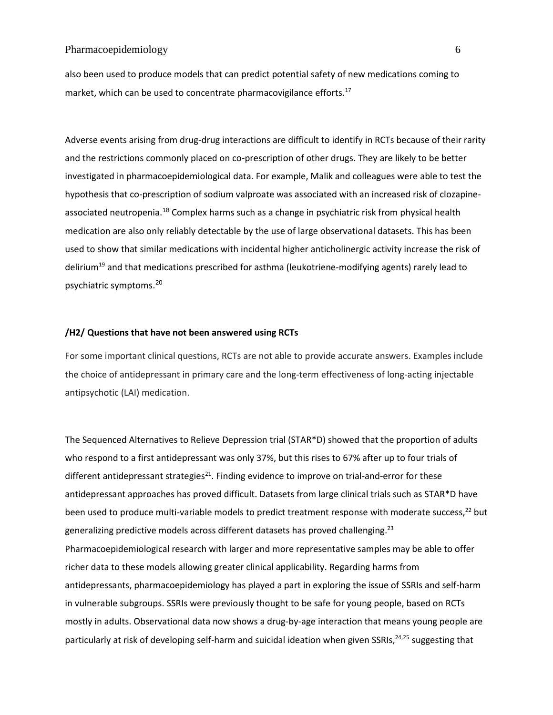also been used to produce models that can predict potential safety of new medications coming to market, which can be used to concentrate pharmacovigilance efforts.<sup>17</sup>

Adverse events arising from drug-drug interactions are difficult to identify in RCTs because of their rarity and the restrictions commonly placed on co-prescription of other drugs. They are likely to be better investigated in pharmacoepidemiological data. For example, Malik and colleagues were able to test the hypothesis that co-prescription of sodium valproate was associated with an increased risk of clozapineassociated neutropenia.<sup>18</sup> Complex harms such as a change in psychiatric risk from physical health medication are also only reliably detectable by the use of large observational datasets. This has been used to show that similar medications with incidental higher anticholinergic activity increase the risk of delirium<sup>19</sup> and that medications prescribed for asthma (leukotriene-modifying agents) rarely lead to psychiatric symptoms. 20

#### **/H2/ Questions that have not been answered using RCTs**

For some important clinical questions, RCTs are not able to provide accurate answers. Examples include the choice of antidepressant in primary care and the long-term effectiveness of long-acting injectable antipsychotic (LAI) medication.

The Sequenced Alternatives to Relieve Depression trial (STAR\*D) showed that the proportion of adults who respond to a first antidepressant was only 37%, but this rises to 67% after up to four trials of different antidepressant strategies<sup>21</sup>. Finding evidence to improve on trial-and-error for these antidepressant approaches has proved difficult. Datasets from large clinical trials such as STAR\*D have been used to produce multi-variable models to predict treatment response with moderate success,<sup>22</sup> but generalizing predictive models across different datasets has proved challenging.<sup>23</sup> Pharmacoepidemiological research with larger and more representative samples may be able to offer richer data to these models allowing greater clinical applicability. Regarding harms from antidepressants, pharmacoepidemiology has played a part in exploring the issue of SSRIs and self-harm in vulnerable subgroups. SSRIs were previously thought to be safe for young people, based on RCTs mostly in adults. Observational data now shows a drug-by-age interaction that means young people are particularly at risk of developing self-harm and suicidal ideation when given SSRIs,<sup>24,25</sup> suggesting that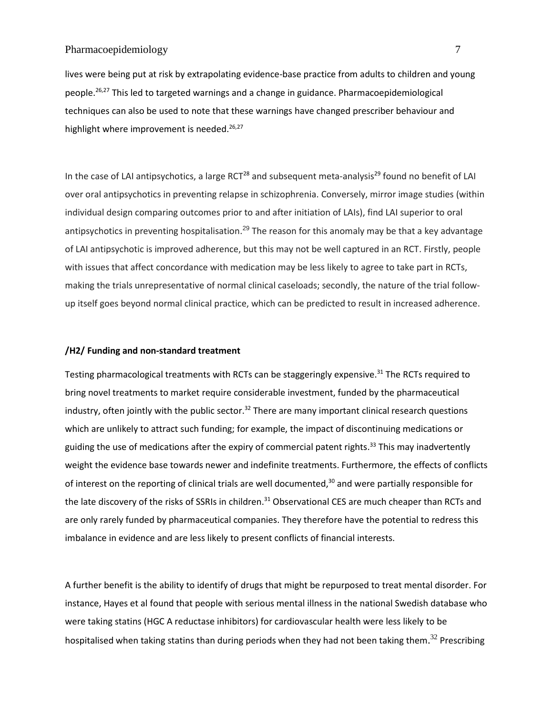lives were being put at risk by extrapolating evidence-base practice from adults to children and young people. 26,27 This led to targeted warnings and a change in guidance. Pharmacoepidemiological techniques can also be used to note that these warnings have changed prescriber behaviour and highlight where improvement is needed.<sup>26,27</sup>

In the case of LAI antipsychotics, a large RCT<sup>28</sup> and subsequent meta-analysis<sup>29</sup> found no benefit of LAI over oral antipsychotics in preventing relapse in schizophrenia. Conversely, mirror image studies (within individual design comparing outcomes prior to and after initiation of LAIs), find LAI superior to oral antipsychotics in preventing hospitalisation.<sup>29</sup> The reason for this anomaly may be that a key advantage of LAI antipsychotic is improved adherence, but this may not be well captured in an RCT. Firstly, people with issues that affect concordance with medication may be less likely to agree to take part in RCTs, making the trials unrepresentative of normal clinical caseloads; secondly, the nature of the trial followup itself goes beyond normal clinical practice, which can be predicted to result in increased adherence.

#### **/H2/ Funding and non-standard treatment**

Testing pharmacological treatments with RCTs can be staggeringly expensive.<sup>31</sup> The RCTs required to bring novel treatments to market require considerable investment, funded by the pharmaceutical industry, often jointly with the public sector.<sup>32</sup> There are many important clinical research questions which are unlikely to attract such funding; for example, the impact of discontinuing medications or guiding the use of medications after the expiry of commercial patent rights.<sup>33</sup> This may inadvertently weight the evidence base towards newer and indefinite treatments. Furthermore, the effects of conflicts of interest on the reporting of clinical trials are well documented,<sup>30</sup> and were partially responsible for the late discovery of the risks of SSRIs in children.<sup>31</sup> Observational CES are much cheaper than RCTs and are only rarely funded by pharmaceutical companies. They therefore have the potential to redress this imbalance in evidence and are less likely to present conflicts of financial interests.

A further benefit is the ability to identify of drugs that might be repurposed to treat mental disorder. For instance, Hayes et al found that people with serious mental illness in the national Swedish database who were taking statins (HGC A reductase inhibitors) for cardiovascular health were less likely to be hospitalised when taking statins than during periods when they had not been taking them.<sup>32</sup> Prescribing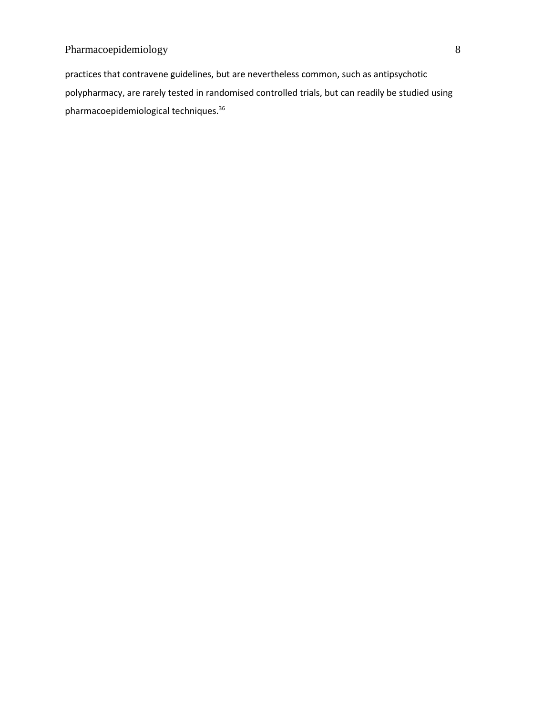practices that contravene guidelines, but are nevertheless common, such as antipsychotic polypharmacy, are rarely tested in randomised controlled trials, but can readily be studied using pharmacoepidemiological techniques. 36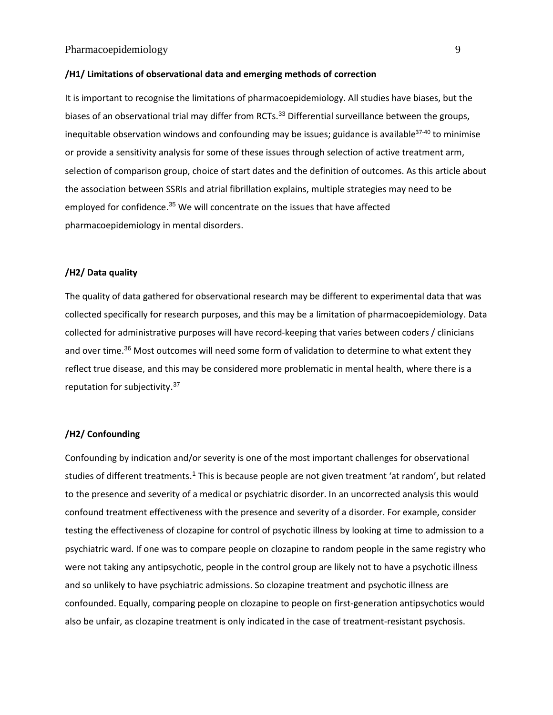#### **/H1/ Limitations of observational data and emerging methods of correction**

It is important to recognise the limitations of pharmacoepidemiology. All studies have biases, but the biases of an observational trial may differ from RCTs.<sup>33</sup> Differential surveillance between the groups, inequitable observation windows and confounding may be issues; guidance is available $37-40$  to minimise or provide a sensitivity analysis for some of these issues through selection of active treatment arm, selection of comparison group, choice of start dates and the definition of outcomes. As this article about the association between SSRIs and atrial fibrillation explains, multiple strategies may need to be employed for confidence.<sup>35</sup> We will concentrate on the issues that have affected pharmacoepidemiology in mental disorders.

#### **/H2/ Data quality**

The quality of data gathered for observational research may be different to experimental data that was collected specifically for research purposes, and this may be a limitation of pharmacoepidemiology. Data collected for administrative purposes will have record-keeping that varies between coders / clinicians and over time.<sup>36</sup> Most outcomes will need some form of validation to determine to what extent they reflect true disease, and this may be considered more problematic in mental health, where there is a reputation for subjectivity.<sup>37</sup>

#### **/H2/ Confounding**

Confounding by indication and/or severity is one of the most important challenges for observational studies of different treatments.<sup>1</sup> This is because people are not given treatment 'at random', but related to the presence and severity of a medical or psychiatric disorder. In an uncorrected analysis this would confound treatment effectiveness with the presence and severity of a disorder. For example, consider testing the effectiveness of clozapine for control of psychotic illness by looking at time to admission to a psychiatric ward. If one was to compare people on clozapine to random people in the same registry who were not taking any antipsychotic, people in the control group are likely not to have a psychotic illness and so unlikely to have psychiatric admissions. So clozapine treatment and psychotic illness are confounded. Equally, comparing people on clozapine to people on first-generation antipsychotics would also be unfair, as clozapine treatment is only indicated in the case of treatment-resistant psychosis.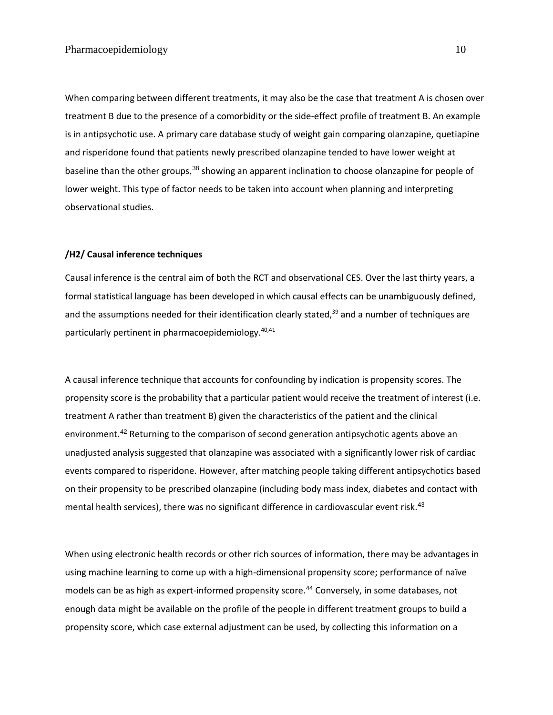When comparing between different treatments, it may also be the case that treatment A is chosen over treatment B due to the presence of a comorbidity or the side-effect profile of treatment B. An example is in antipsychotic use. A primary care database study of weight gain comparing olanzapine, quetiapine and risperidone found that patients newly prescribed olanzapine tended to have lower weight at baseline than the other groups,<sup>38</sup> showing an apparent inclination to choose olanzapine for people of lower weight. This type of factor needs to be taken into account when planning and interpreting observational studies.

#### **/H2/ Causal inference techniques**

Causal inference is the central aim of both the RCT and observational CES. Over the last thirty years, a formal statistical language has been developed in which causal effects can be unambiguously defined, and the assumptions needed for their identification clearly stated,<sup>39</sup> and a number of techniques are particularly pertinent in pharmacoepidemiology.<sup>40,41</sup>

A causal inference technique that accounts for confounding by indication is propensity scores. The propensity score is the probability that a particular patient would receive the treatment of interest (i.e. treatment A rather than treatment B) given the characteristics of the patient and the clinical environment.<sup>42</sup> Returning to the comparison of second generation antipsychotic agents above an unadjusted analysis suggested that olanzapine was associated with a significantly lower risk of cardiac events compared to risperidone. However, after matching people taking different antipsychotics based on their propensity to be prescribed olanzapine (including body mass index, diabetes and contact with mental health services), there was no significant difference in cardiovascular event risk.<sup>43</sup>

When using electronic health records or other rich sources of information, there may be advantages in using machine learning to come up with a high-dimensional propensity score; performance of naïve models can be as high as expert-informed propensity score. <sup>44</sup> Conversely, in some databases, not enough data might be available on the profile of the people in different treatment groups to build a propensity score, which case external adjustment can be used, by collecting this information on a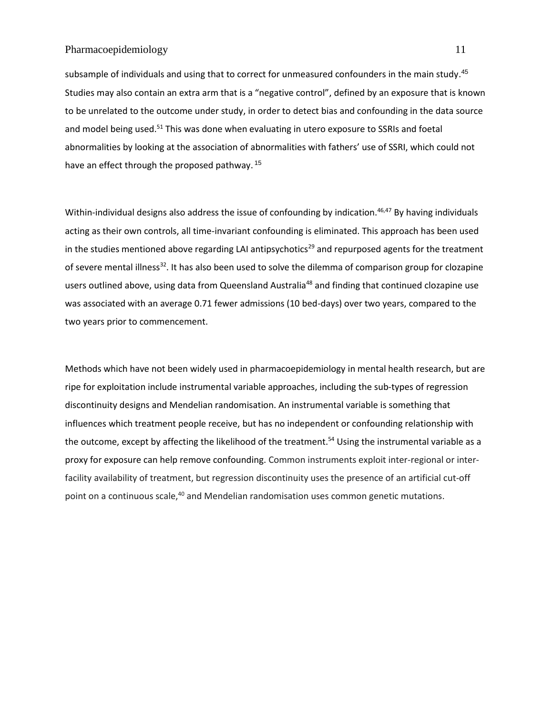subsample of individuals and using that to correct for unmeasured confounders in the main study.<sup>45</sup> Studies may also contain an extra arm that is a "negative control", defined by an exposure that is known to be unrelated to the outcome under study, in order to detect bias and confounding in the data source and model being used.<sup>51</sup> This was done when evaluating in utero exposure to SSRIs and foetal abnormalities by looking at the association of abnormalities with fathers' use of SSRI, which could not have an effect through the proposed pathway.<sup>15</sup>

Within-individual designs also address the issue of confounding by indication.<sup>46,47</sup> By having individuals acting as their own controls, all time-invariant confounding is eliminated. This approach has been used in the studies mentioned above regarding LAI antipsychotics<sup>29</sup> and repurposed agents for the treatment of severe mental illness<sup>32</sup>. It has also been used to solve the dilemma of comparison group for clozapine users outlined above, using data from Queensland Australia<sup>48</sup> and finding that continued clozapine use was associated with an average 0.71 fewer admissions (10 bed-days) over two years, compared to the two years prior to commencement.

Methods which have not been widely used in pharmacoepidemiology in mental health research, but are ripe for exploitation include instrumental variable approaches, including the sub-types of regression discontinuity designs and Mendelian randomisation. An instrumental variable is something that influences which treatment people receive, but has no independent or confounding relationship with the outcome, except by affecting the likelihood of the treatment. <sup>54</sup> Using the instrumental variable as a proxy for exposure can help remove confounding. Common instruments exploit inter-regional or interfacility availability of treatment, but regression discontinuity uses the presence of an artificial cut-off point on a continuous scale,<sup>40</sup> and Mendelian randomisation uses common genetic mutations.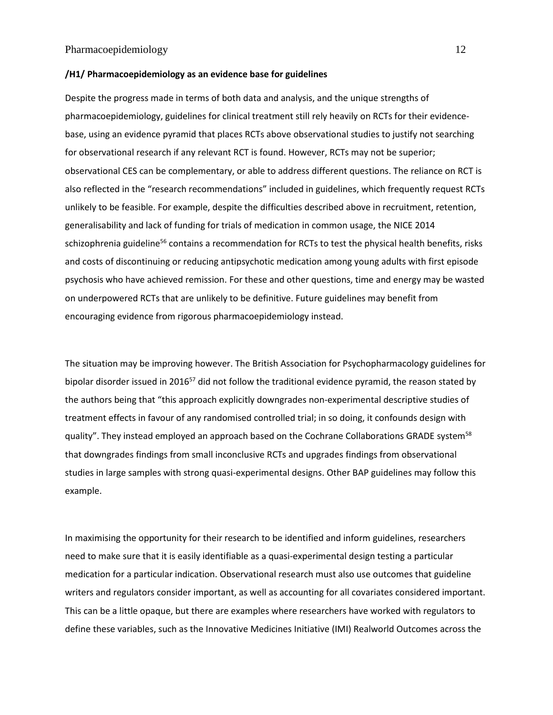#### **/H1/ Pharmacoepidemiology as an evidence base for guidelines**

Despite the progress made in terms of both data and analysis, and the unique strengths of pharmacoepidemiology, guidelines for clinical treatment still rely heavily on RCTs for their evidencebase, using an evidence pyramid that places RCTs above observational studies to justify not searching for observational research if any relevant RCT is found. However, RCTs may not be superior; observational CES can be complementary, or able to address different questions. The reliance on RCT is also reflected in the "research recommendations" included in guidelines, which frequently request RCTs unlikely to be feasible. For example, despite the difficulties described above in recruitment, retention, generalisability and lack of funding for trials of medication in common usage, the NICE 2014 schizophrenia guideline<sup>56</sup> contains a recommendation for RCTs to test the physical health benefits, risks and costs of discontinuing or reducing antipsychotic medication among young adults with first episode psychosis who have achieved remission. For these and other questions, time and energy may be wasted on underpowered RCTs that are unlikely to be definitive. Future guidelines may benefit from encouraging evidence from rigorous pharmacoepidemiology instead.

The situation may be improving however. The British Association for Psychopharmacology guidelines for bipolar disorder issued in 2016<sup>57</sup> did not follow the traditional evidence pyramid, the reason stated by the authors being that "this approach explicitly downgrades non-experimental descriptive studies of treatment effects in favour of any randomised controlled trial; in so doing, it confounds design with quality". They instead employed an approach based on the Cochrane Collaborations GRADE system<sup>58</sup> that downgrades findings from small inconclusive RCTs and upgrades findings from observational studies in large samples with strong quasi-experimental designs. Other BAP guidelines may follow this example.

In maximising the opportunity for their research to be identified and inform guidelines, researchers need to make sure that it is easily identifiable as a quasi-experimental design testing a particular medication for a particular indication. Observational research must also use outcomes that guideline writers and regulators consider important, as well as accounting for all covariates considered important. This can be a little opaque, but there are examples where researchers have worked with regulators to define these variables, such as the Innovative Medicines Initiative (IMI) Realworld Outcomes across the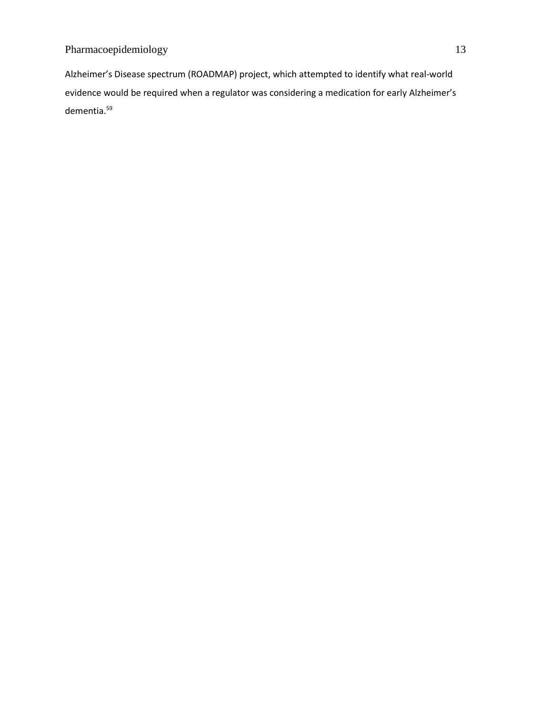Alzheimer's Disease spectrum (ROADMAP) project, which attempted to identify what real-world evidence would be required when a regulator was considering a medication for early Alzheimer's dementia. 59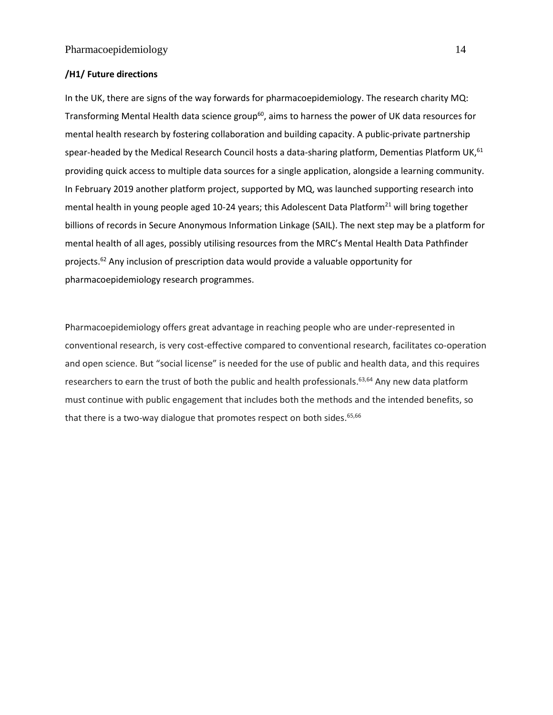## **/H1/ Future directions**

In the UK, there are signs of the way forwards for pharmacoepidemiology. The research charity MQ: Transforming Mental Health data science group<sup>60</sup>, aims to harness the power of UK data resources for mental health research by fostering collaboration and building capacity. A public-private partnership spear-headed by the Medical Research Council hosts a data-sharing platform, Dementias Platform UK,<sup>61</sup> providing quick access to multiple data sources for a single application, alongside a learning community. In February 2019 another platform project, supported by MQ, was launched supporting research into mental health in young people aged 10-24 years; this Adolescent Data Platform<sup>21</sup> will bring together billions of records in Secure Anonymous Information Linkage (SAIL). The next step may be a platform for mental health of all ages, possibly utilising resources from the MRC's Mental Health Data Pathfinder projects. <sup>62</sup> Any inclusion of prescription data would provide a valuable opportunity for pharmacoepidemiology research programmes.

Pharmacoepidemiology offers great advantage in reaching people who are under-represented in conventional research, is very cost-effective compared to conventional research, facilitates co-operation and open science. But "social license" is needed for the use of public and health data, and this requires researchers to earn the trust of both the public and health professionals.<sup>63,64</sup> Any new data platform must continue with public engagement that includes both the methods and the intended benefits, so that there is a two-way dialogue that promotes respect on both sides.<sup>65,66</sup>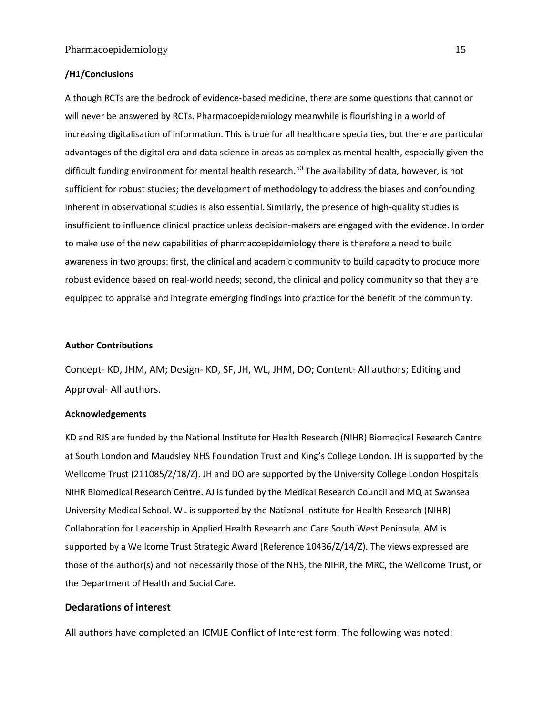## **/H1/Conclusions**

Although RCTs are the bedrock of evidence-based medicine, there are some questions that cannot or will never be answered by RCTs. Pharmacoepidemiology meanwhile is flourishing in a world of increasing digitalisation of information. This is true for all healthcare specialties, but there are particular advantages of the digital era and data science in areas as complex as mental health, especially given the difficult funding environment for mental health research. <sup>50</sup> The availability of data, however, is not sufficient for robust studies; the development of methodology to address the biases and confounding inherent in observational studies is also essential. Similarly, the presence of high-quality studies is insufficient to influence clinical practice unless decision-makers are engaged with the evidence. In order to make use of the new capabilities of pharmacoepidemiology there is therefore a need to build awareness in two groups: first, the clinical and academic community to build capacity to produce more robust evidence based on real-world needs; second, the clinical and policy community so that they are equipped to appraise and integrate emerging findings into practice for the benefit of the community.

#### **Author Contributions**

Concept- KD, JHM, AM; Design- KD, SF, JH, WL, JHM, DO; Content- All authors; Editing and Approval- All authors.

#### **Acknowledgements**

KD and RJS are funded by the National Institute for Health Research (NIHR) Biomedical Research Centre at South London and Maudsley NHS Foundation Trust and King's College London. JH is supported by the Wellcome Trust (211085/Z/18/Z). JH and DO are supported by the University College London Hospitals NIHR Biomedical Research Centre. AJ is funded by the Medical Research Council and MQ at Swansea University Medical School. WL is supported by the National Institute for Health Research (NIHR) Collaboration for Leadership in Applied Health Research and Care South West Peninsula. AM is supported by a Wellcome Trust Strategic Award (Reference 10436/Z/14/Z). The views expressed are those of the author(s) and not necessarily those of the NHS, the NIHR, the MRC, the Wellcome Trust, or the Department of Health and Social Care.

## **Declarations of interest**

All authors have completed an ICMJE Conflict of Interest form. The following was noted: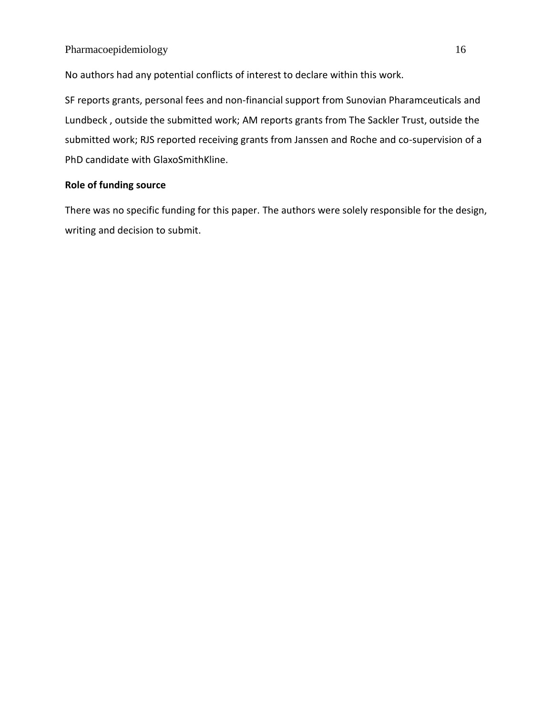No authors had any potential conflicts of interest to declare within this work.

SF reports grants, personal fees and non-financial support from Sunovian Pharamceuticals and Lundbeck , outside the submitted work; AM reports grants from The Sackler Trust, outside the submitted work; RJS reported receiving grants from Janssen and Roche and co-supervision of a PhD candidate with GlaxoSmithKline.

## **Role of funding source**

There was no specific funding for this paper. The authors were solely responsible for the design, writing and decision to submit.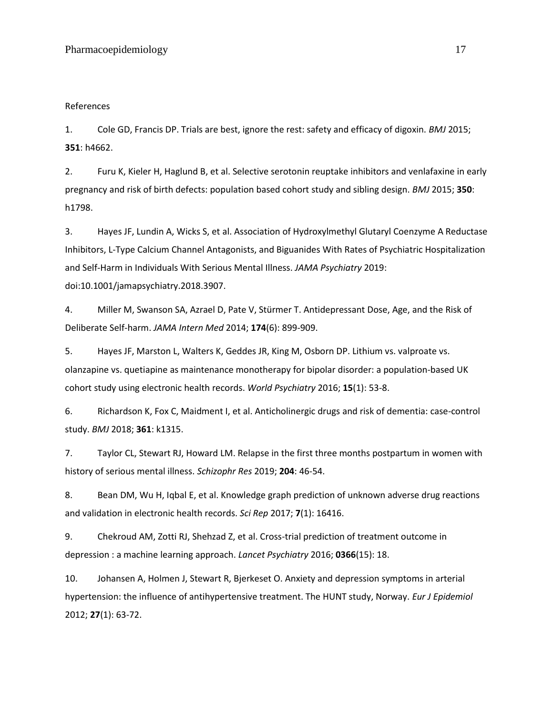#### References

1. Cole GD, Francis DP. Trials are best, ignore the rest: safety and efficacy of digoxin. *BMJ* 2015; **351**: h4662.

2. Furu K, Kieler H, Haglund B, et al. Selective serotonin reuptake inhibitors and venlafaxine in early pregnancy and risk of birth defects: population based cohort study and sibling design. *BMJ* 2015; **350**: h1798.

3. Hayes JF, Lundin A, Wicks S, et al. Association of Hydroxylmethyl Glutaryl Coenzyme A Reductase Inhibitors, L-Type Calcium Channel Antagonists, and Biguanides With Rates of Psychiatric Hospitalization and Self-Harm in Individuals With Serious Mental Illness. *JAMA Psychiatry* 2019: doi:10.1001/jamapsychiatry.2018.3907.

4. Miller M, Swanson SA, Azrael D, Pate V, Stürmer T. Antidepressant Dose, Age, and the Risk of Deliberate Self-harm. *JAMA Intern Med* 2014; **174**(6): 899-909.

5. Hayes JF, Marston L, Walters K, Geddes JR, King M, Osborn DP. Lithium vs. valproate vs. olanzapine vs. quetiapine as maintenance monotherapy for bipolar disorder: a population‐based UK cohort study using electronic health records. *World Psychiatry* 2016; **15**(1): 53-8.

6. Richardson K, Fox C, Maidment I, et al. Anticholinergic drugs and risk of dementia: case-control study. *BMJ* 2018; **361**: k1315.

7. Taylor CL, Stewart RJ, Howard LM. Relapse in the first three months postpartum in women with history of serious mental illness. *Schizophr Res* 2019; **204**: 46-54.

8. Bean DM, Wu H, Iqbal E, et al. Knowledge graph prediction of unknown adverse drug reactions and validation in electronic health records. *Sci Rep* 2017; **7**(1): 16416.

9. Chekroud AM, Zotti RJ, Shehzad Z, et al. Cross-trial prediction of treatment outcome in depression : a machine learning approach. *Lancet Psychiatry* 2016; **0366**(15): 18.

10. Johansen A, Holmen J, Stewart R, Bjerkeset O. Anxiety and depression symptoms in arterial hypertension: the influence of antihypertensive treatment. The HUNT study, Norway. *Eur J Epidemiol* 2012; **27**(1): 63-72.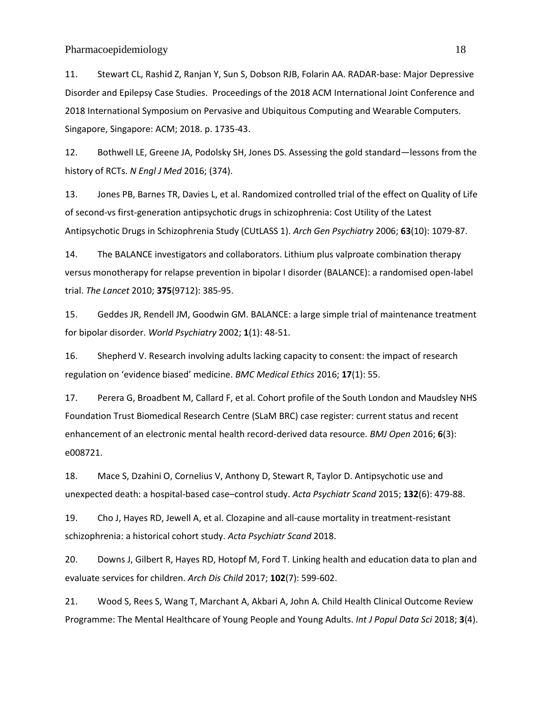11. Stewart CL, Rashid Z, Ranjan Y, Sun S, Dobson RJB, Folarin AA. RADAR-base: Major Depressive Disorder and Epilepsy Case Studies. Proceedings of the 2018 ACM International Joint Conference and 2018 International Symposium on Pervasive and Ubiquitous Computing and Wearable Computers. Singapore, Singapore: ACM; 2018. p. 1735-43.

12. Bothwell LE, Greene JA, Podolsky SH, Jones DS. Assessing the gold standard—lessons from the history of RCTs. *N Engl J Med* 2016; (374).

13. Jones PB, Barnes TR, Davies L, et al. Randomized controlled trial of the effect on Quality of Life of second-vs first-generation antipsychotic drugs in schizophrenia: Cost Utility of the Latest Antipsychotic Drugs in Schizophrenia Study (CUtLASS 1). *Arch Gen Psychiatry* 2006; **63**(10): 1079-87.

14. The BALANCE investigators and collaborators. Lithium plus valproate combination therapy versus monotherapy for relapse prevention in bipolar I disorder (BALANCE): a randomised open-label trial. *The Lancet* 2010; **375**(9712): 385-95.

15. Geddes JR, Rendell JM, Goodwin GM. BALANCE: a large simple trial of maintenance treatment for bipolar disorder. *World Psychiatry* 2002; **1**(1): 48-51.

16. Shepherd V. Research involving adults lacking capacity to consent: the impact of research regulation on 'evidence biased' medicine. *BMC Medical Ethics* 2016; **17**(1): 55.

17. Perera G, Broadbent M, Callard F, et al. Cohort profile of the South London and Maudsley NHS Foundation Trust Biomedical Research Centre (SLaM BRC) case register: current status and recent enhancement of an electronic mental health record-derived data resource. *BMJ Open* 2016; **6**(3): e008721.

18. Mace S, Dzahini O, Cornelius V, Anthony D, Stewart R, Taylor D. Antipsychotic use and unexpected death: a hospital-based case–control study. *Acta Psychiatr Scand* 2015; **132**(6): 479-88.

19. Cho J, Hayes RD, Jewell A, et al. Clozapine and all-cause mortality in treatment-resistant schizophrenia: a historical cohort study. *Acta Psychiatr Scand* 2018.

20. Downs J, Gilbert R, Hayes RD, Hotopf M, Ford T. Linking health and education data to plan and evaluate services for children. *Arch Dis Child* 2017; **102**(7): 599-602.

21. Wood S, Rees S, Wang T, Marchant A, Akbari A, John A. Child Health Clinical Outcome Review Programme: The Mental Healthcare of Young People and Young Adults. *Int J Popul Data Sci* 2018; **3**(4).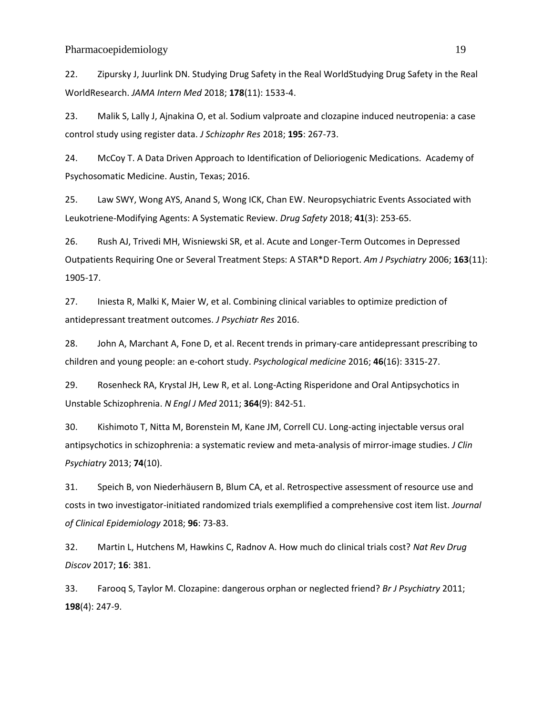22. Zipursky J, Juurlink DN. Studying Drug Safety in the Real WorldStudying Drug Safety in the Real WorldResearch. *JAMA Intern Med* 2018; **178**(11): 1533-4.

23. Malik S, Lally J, Ajnakina O, et al. Sodium valproate and clozapine induced neutropenia: a case control study using register data. *J Schizophr Res* 2018; **195**: 267-73.

24. McCoy T. A Data Driven Approach to Identification of Delioriogenic Medications. Academy of Psychosomatic Medicine. Austin, Texas; 2016.

25. Law SWY, Wong AYS, Anand S, Wong ICK, Chan EW. Neuropsychiatric Events Associated with Leukotriene-Modifying Agents: A Systematic Review. *Drug Safety* 2018; **41**(3): 253-65.

26. Rush AJ, Trivedi MH, Wisniewski SR, et al. Acute and Longer-Term Outcomes in Depressed Outpatients Requiring One or Several Treatment Steps: A STAR\*D Report. *Am J Psychiatry* 2006; **163**(11): 1905-17.

27. Iniesta R, Malki K, Maier W, et al. Combining clinical variables to optimize prediction of antidepressant treatment outcomes. *J Psychiatr Res* 2016.

28. John A, Marchant A, Fone D, et al. Recent trends in primary-care antidepressant prescribing to children and young people: an e-cohort study. *Psychological medicine* 2016; **46**(16): 3315-27.

29. Rosenheck RA, Krystal JH, Lew R, et al. Long-Acting Risperidone and Oral Antipsychotics in Unstable Schizophrenia. *N Engl J Med* 2011; **364**(9): 842-51.

30. Kishimoto T, Nitta M, Borenstein M, Kane JM, Correll CU. Long-acting injectable versus oral antipsychotics in schizophrenia: a systematic review and meta-analysis of mirror-image studies. *J Clin Psychiatry* 2013; **74**(10).

31. Speich B, von Niederhäusern B, Blum CA, et al. Retrospective assessment of resource use and costs in two investigator-initiated randomized trials exemplified a comprehensive cost item list. *Journal of Clinical Epidemiology* 2018; **96**: 73-83.

32. Martin L, Hutchens M, Hawkins C, Radnov A. How much do clinical trials cost? *Nat Rev Drug Discov* 2017; **16**: 381.

33. Farooq S, Taylor M. Clozapine: dangerous orphan or neglected friend? *Br J Psychiatry* 2011; **198**(4): 247-9.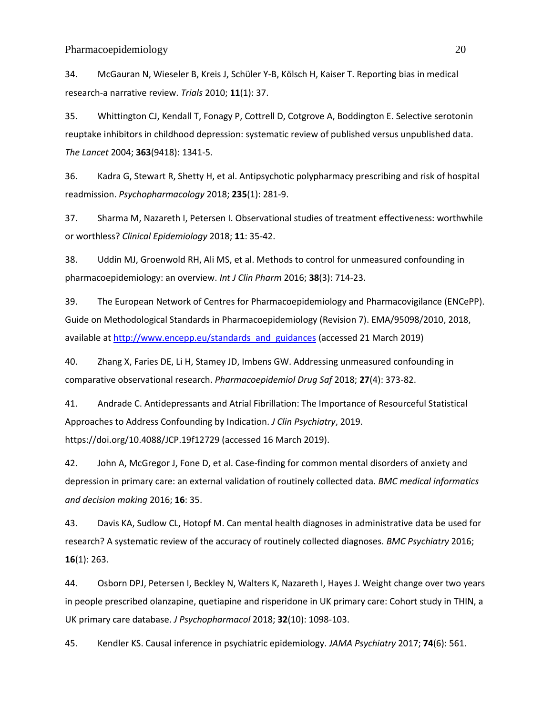34. McGauran N, Wieseler B, Kreis J, Schüler Y-B, Kölsch H, Kaiser T. Reporting bias in medical research-a narrative review. *Trials* 2010; **11**(1): 37.

35. Whittington CJ, Kendall T, Fonagy P, Cottrell D, Cotgrove A, Boddington E. Selective serotonin reuptake inhibitors in childhood depression: systematic review of published versus unpublished data. *The Lancet* 2004; **363**(9418): 1341-5.

36. Kadra G, Stewart R, Shetty H, et al. Antipsychotic polypharmacy prescribing and risk of hospital readmission. *Psychopharmacology* 2018; **235**(1): 281-9.

37. Sharma M, Nazareth I, Petersen I. Observational studies of treatment effectiveness: worthwhile or worthless? *Clinical Epidemiology* 2018; **11**: 35-42.

38. Uddin MJ, Groenwold RH, Ali MS, et al. Methods to control for unmeasured confounding in pharmacoepidemiology: an overview. *Int J Clin Pharm* 2016; **38**(3): 714-23.

39. The European Network of Centres for Pharmacoepidemiology and Pharmacovigilance (ENCePP). Guide on Methodological Standards in Pharmacoepidemiology (Revision 7). EMA/95098/2010, 2018, available a[t http://www.encepp.eu/standards\\_and\\_guidances](http://www.encepp.eu/standards_and_guidances) (accessed 21 March 2019)

40. Zhang X, Faries DE, Li H, Stamey JD, Imbens GW. Addressing unmeasured confounding in comparative observational research. *Pharmacoepidemiol Drug Saf* 2018; **27**(4): 373-82.

41. Andrade C. Antidepressants and Atrial Fibrillation: The Importance of Resourceful Statistical Approaches to Address Confounding by Indication. *J Clin Psychiatry*, 2019. https://doi.org/10.4088/JCP.19f12729 (accessed 16 March 2019).

42. John A, McGregor J, Fone D, et al. Case-finding for common mental disorders of anxiety and depression in primary care: an external validation of routinely collected data. *BMC medical informatics and decision making* 2016; **16**: 35.

43. Davis KA, Sudlow CL, Hotopf M. Can mental health diagnoses in administrative data be used for research? A systematic review of the accuracy of routinely collected diagnoses. *BMC Psychiatry* 2016; **16**(1): 263.

44. Osborn DPJ, Petersen I, Beckley N, Walters K, Nazareth I, Hayes J. Weight change over two years in people prescribed olanzapine, quetiapine and risperidone in UK primary care: Cohort study in THIN, a UK primary care database. *J Psychopharmacol* 2018; **32**(10): 1098-103.

45. Kendler KS. Causal inference in psychiatric epidemiology. *JAMA Psychiatry* 2017; **74**(6): 561.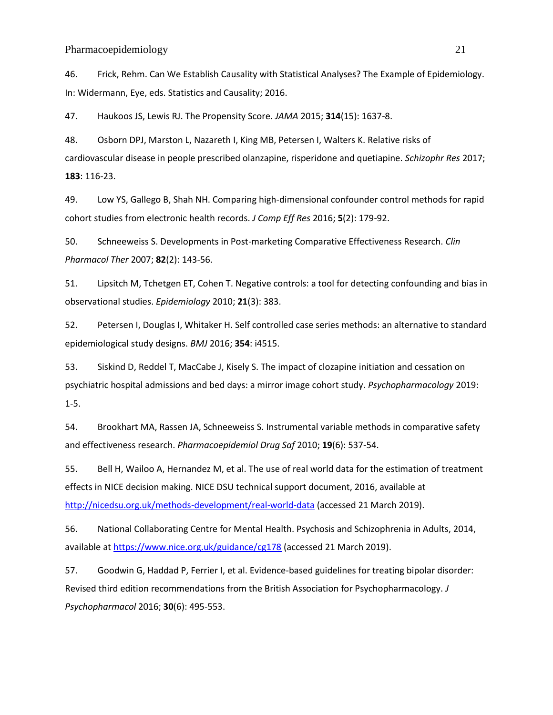46. Frick, Rehm. Can We Establish Causality with Statistical Analyses? The Example of Epidemiology. In: Widermann, Eye, eds. Statistics and Causality; 2016.

47. Haukoos JS, Lewis RJ. The Propensity Score. *JAMA* 2015; **314**(15): 1637-8.

48. Osborn DPJ, Marston L, Nazareth I, King MB, Petersen I, Walters K. Relative risks of cardiovascular disease in people prescribed olanzapine, risperidone and quetiapine. *Schizophr Res* 2017; **183**: 116-23.

49. Low YS, Gallego B, Shah NH. Comparing high-dimensional confounder control methods for rapid cohort studies from electronic health records. *J Comp Eff Res* 2016; **5**(2): 179-92.

50. Schneeweiss S. Developments in Post-marketing Comparative Effectiveness Research. *Clin Pharmacol Ther* 2007; **82**(2): 143-56.

51. Lipsitch M, Tchetgen ET, Cohen T. Negative controls: a tool for detecting confounding and bias in observational studies. *Epidemiology* 2010; **21**(3): 383.

52. Petersen I, Douglas I, Whitaker H. Self controlled case series methods: an alternative to standard epidemiological study designs. *BMJ* 2016; **354**: i4515.

53. Siskind D, Reddel T, MacCabe J, Kisely S. The impact of clozapine initiation and cessation on psychiatric hospital admissions and bed days: a mirror image cohort study. *Psychopharmacology* 2019: 1-5.

54. Brookhart MA, Rassen JA, Schneeweiss S. Instrumental variable methods in comparative safety and effectiveness research. *Pharmacoepidemiol Drug Saf* 2010; **19**(6): 537-54.

55. Bell H, Wailoo A, Hernandez M, et al. The use of real world data for the estimation of treatment effects in NICE decision making. NICE DSU technical support document, 2016, available at <http://nicedsu.org.uk/methods-development/real-world-data> (accessed 21 March 2019).

56. National Collaborating Centre for Mental Health. Psychosis and Schizophrenia in Adults, 2014, available a[t https://www.nice.org.uk/guidance/cg178](https://www.nice.org.uk/guidance/cg178) (accessed 21 March 2019).

57. Goodwin G, Haddad P, Ferrier I, et al. Evidence-based guidelines for treating bipolar disorder: Revised third edition recommendations from the British Association for Psychopharmacology. *J Psychopharmacol* 2016; **30**(6): 495-553.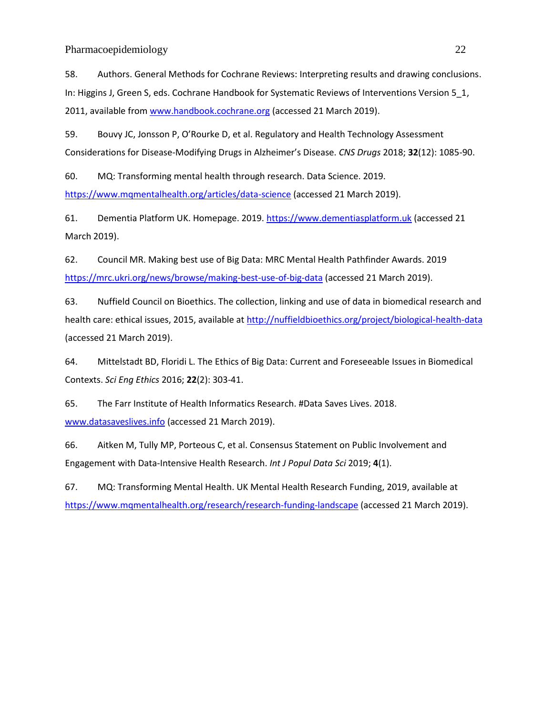58. Authors. General Methods for Cochrane Reviews: Interpreting results and drawing conclusions. In: Higgins J, Green S, eds. Cochrane Handbook for Systematic Reviews of Interventions Version 5\_1, 2011, available from [www.handbook.cochrane.org](http://www.handbook.cochrane.org/) (accessed 21 March 2019).

59. Bouvy JC, Jonsson P, O'Rourke D, et al. Regulatory and Health Technology Assessment Considerations for Disease-Modifying Drugs in Alzheimer's Disease. *CNS Drugs* 2018; **32**(12): 1085-90.

60. MQ: Transforming mental health through research. Data Science. 2019. <https://www.mqmentalhealth.org/articles/data-science> (accessed 21 March 2019).

61. Dementia Platform UK. Homepage. 2019. [https://www.dementiasplatform.uk](https://www.dementiasplatform.uk/) (accessed 21 March 2019).

62. Council MR. Making best use of Big Data: MRC Mental Health Pathfinder Awards. 2019 <https://mrc.ukri.org/news/browse/making-best-use-of-big-data> (accessed 21 March 2019).

63. Nuffield Council on Bioethics. The collection, linking and use of data in biomedical research and health care: ethical issues, 2015, available at<http://nuffieldbioethics.org/project/biological-health-data> (accessed 21 March 2019).

64. Mittelstadt BD, Floridi L. The Ethics of Big Data: Current and Foreseeable Issues in Biomedical Contexts. *Sci Eng Ethics* 2016; **22**(2): 303-41.

65. The Farr Institute of Health Informatics Research. #Data Saves Lives. 2018. [www.datasaveslives.info](http://www.datasaveslives.info/) (accessed 21 March 2019).

66. Aitken M, Tully MP, Porteous C, et al. Consensus Statement on Public Involvement and Engagement with Data-Intensive Health Research. *Int J Popul Data Sci* 2019; **4**(1).

67. MQ: Transforming Mental Health. UK Mental Health Research Funding, 2019, available at <https://www.mqmentalhealth.org/research/research-funding-landscape> (accessed 21 March 2019).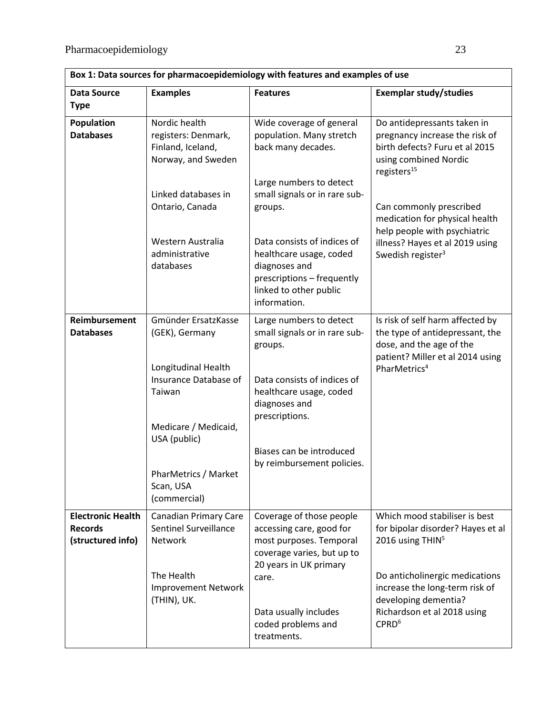| Box 1: Data sources for pharmacoepidemiology with features and examples of use |                                                                         |                                                                                                                                                 |                                                                                                                                              |  |  |  |
|--------------------------------------------------------------------------------|-------------------------------------------------------------------------|-------------------------------------------------------------------------------------------------------------------------------------------------|----------------------------------------------------------------------------------------------------------------------------------------------|--|--|--|
| <b>Data Source</b><br><b>Type</b>                                              | <b>Examples</b>                                                         | <b>Features</b>                                                                                                                                 | <b>Exemplar study/studies</b>                                                                                                                |  |  |  |
| Population                                                                     | Nordic health                                                           | Wide coverage of general                                                                                                                        | Do antidepressants taken in                                                                                                                  |  |  |  |
| <b>Databases</b>                                                               | registers: Denmark,<br>Finland, Iceland,<br>Norway, and Sweden          | population. Many stretch<br>back many decades.                                                                                                  | pregnancy increase the risk of<br>birth defects? Furu et al 2015<br>using combined Nordic<br>registers <sup>15</sup>                         |  |  |  |
|                                                                                | Linked databases in                                                     | Large numbers to detect<br>small signals or in rare sub-                                                                                        |                                                                                                                                              |  |  |  |
|                                                                                | Ontario, Canada                                                         | groups.                                                                                                                                         | Can commonly prescribed<br>medication for physical health<br>help people with psychiatric                                                    |  |  |  |
|                                                                                | Western Australia<br>administrative<br>databases                        | Data consists of indices of<br>healthcare usage, coded<br>diagnoses and<br>prescriptions - frequently<br>linked to other public<br>information. | illness? Hayes et al 2019 using<br>Swedish register <sup>3</sup>                                                                             |  |  |  |
| <b>Reimbursement</b><br><b>Databases</b>                                       | Gmünder ErsatzKasse<br>(GEK), Germany                                   | Large numbers to detect<br>small signals or in rare sub-<br>groups.                                                                             | Is risk of self harm affected by<br>the type of antidepressant, the<br>dose, and the age of the<br>patient? Miller et al 2014 using          |  |  |  |
|                                                                                | Longitudinal Health<br>Insurance Database of<br>Taiwan                  | Data consists of indices of<br>healthcare usage, coded<br>diagnoses and<br>prescriptions.                                                       | PharMetrics <sup>4</sup>                                                                                                                     |  |  |  |
|                                                                                | Medicare / Medicaid,<br>USA (public)                                    |                                                                                                                                                 |                                                                                                                                              |  |  |  |
|                                                                                |                                                                         | Biases can be introduced<br>by reimbursement policies.                                                                                          |                                                                                                                                              |  |  |  |
|                                                                                | PharMetrics / Market<br>Scan, USA<br>(commercial)                       |                                                                                                                                                 |                                                                                                                                              |  |  |  |
| <b>Electronic Health</b><br><b>Records</b><br>(structured info)                | <b>Canadian Primary Care</b><br><b>Sentinel Surveillance</b><br>Network | Coverage of those people<br>accessing care, good for<br>most purposes. Temporal<br>coverage varies, but up to<br>20 years in UK primary         | Which mood stabiliser is best<br>for bipolar disorder? Hayes et al<br>2016 using THIN <sup>5</sup>                                           |  |  |  |
|                                                                                | The Health<br><b>Improvement Network</b><br>(THIN), UK.                 | care.<br>Data usually includes<br>coded problems and<br>treatments.                                                                             | Do anticholinergic medications<br>increase the long-term risk of<br>developing dementia?<br>Richardson et al 2018 using<br>CPRD <sup>6</sup> |  |  |  |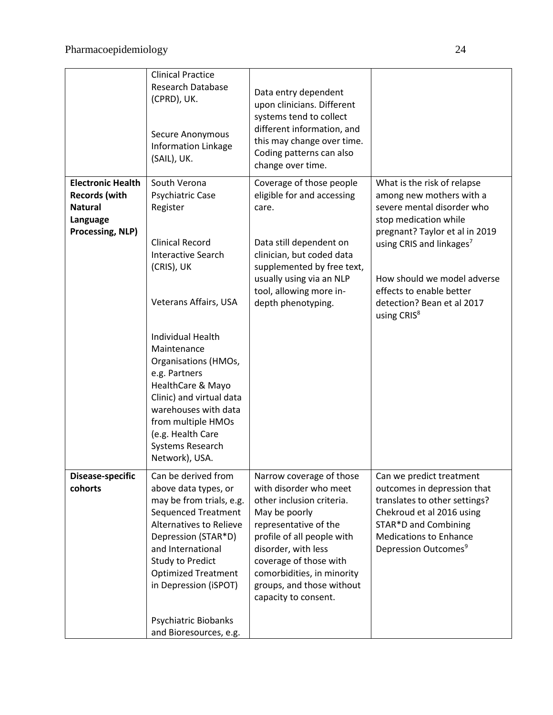|                                                                                                    | <b>Clinical Practice</b><br>Research Database<br>(CPRD), UK.<br>Secure Anonymous<br><b>Information Linkage</b><br>(SAIL), UK.                                                                                                                                                          | Data entry dependent<br>upon clinicians. Different<br>systems tend to collect<br>different information, and<br>this may change over time.<br>Coding patterns can also<br>change over time.                                                                                                  |                                                                                                                                                                                                                    |
|----------------------------------------------------------------------------------------------------|----------------------------------------------------------------------------------------------------------------------------------------------------------------------------------------------------------------------------------------------------------------------------------------|---------------------------------------------------------------------------------------------------------------------------------------------------------------------------------------------------------------------------------------------------------------------------------------------|--------------------------------------------------------------------------------------------------------------------------------------------------------------------------------------------------------------------|
| <b>Electronic Health</b><br><b>Records (with</b><br><b>Natural</b><br>Language<br>Processing, NLP) | South Verona<br>Psychiatric Case<br>Register<br><b>Clinical Record</b><br><b>Interactive Search</b><br>(CRIS), UK                                                                                                                                                                      | Coverage of those people<br>eligible for and accessing<br>care.<br>Data still dependent on<br>clinician, but coded data<br>supplemented by free text,                                                                                                                                       | What is the risk of relapse<br>among new mothers with a<br>severe mental disorder who<br>stop medication while<br>pregnant? Taylor et al in 2019<br>using CRIS and linkages <sup>7</sup>                           |
|                                                                                                    | Veterans Affairs, USA                                                                                                                                                                                                                                                                  | usually using via an NLP<br>tool, allowing more in-<br>depth phenotyping.                                                                                                                                                                                                                   | How should we model adverse<br>effects to enable better<br>detection? Bean et al 2017<br>using CRIS <sup>8</sup>                                                                                                   |
|                                                                                                    | <b>Individual Health</b><br>Maintenance<br>Organisations (HMOs,<br>e.g. Partners<br>HealthCare & Mayo<br>Clinic) and virtual data<br>warehouses with data<br>from multiple HMOs<br>(e.g. Health Care<br>Systems Research<br>Network), USA.                                             |                                                                                                                                                                                                                                                                                             |                                                                                                                                                                                                                    |
| Disease-specific<br>cohorts                                                                        | Can be derived from<br>above data types, or<br>may be from trials, e.g.<br><b>Sequenced Treatment</b><br>Alternatives to Relieve<br>Depression (STAR*D)<br>and International<br><b>Study to Predict</b><br><b>Optimized Treatment</b><br>in Depression (iSPOT)<br>Psychiatric Biobanks | Narrow coverage of those<br>with disorder who meet<br>other inclusion criteria.<br>May be poorly<br>representative of the<br>profile of all people with<br>disorder, with less<br>coverage of those with<br>comorbidities, in minority<br>groups, and those without<br>capacity to consent. | Can we predict treatment<br>outcomes in depression that<br>translates to other settings?<br>Chekroud et al 2016 using<br>STAR*D and Combining<br><b>Medications to Enhance</b><br>Depression Outcomes <sup>9</sup> |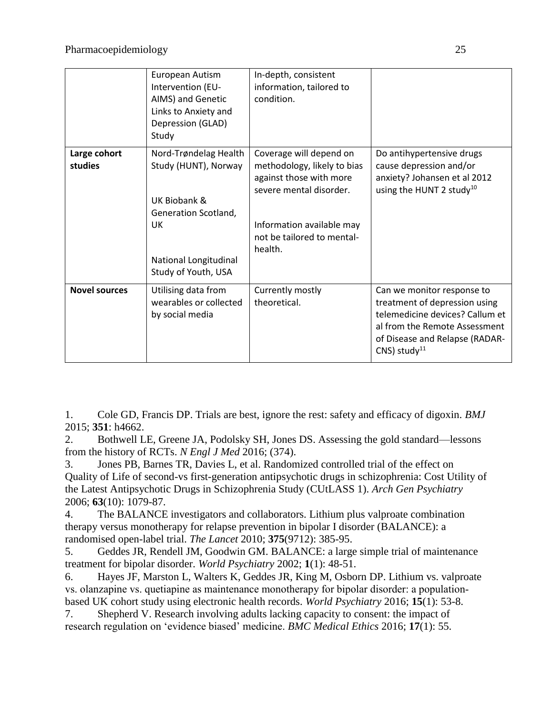|                         | European Autism<br>Intervention (EU-<br>AIMS) and Genetic<br>Links to Anxiety and<br>Depression (GLAD)<br>Study                                    | In-depth, consistent<br>information, tailored to<br>condition.                                                                                                                     |                                                                                                                                                                                                 |
|-------------------------|----------------------------------------------------------------------------------------------------------------------------------------------------|------------------------------------------------------------------------------------------------------------------------------------------------------------------------------------|-------------------------------------------------------------------------------------------------------------------------------------------------------------------------------------------------|
| Large cohort<br>studies | Nord-Trøndelag Health<br>Study (HUNT), Norway<br>UK Biobank &<br>Generation Scotland,<br><b>UK</b><br>National Longitudinal<br>Study of Youth, USA | Coverage will depend on<br>methodology, likely to bias<br>against those with more<br>severe mental disorder.<br>Information available may<br>not be tailored to mental-<br>health. | Do antihypertensive drugs<br>cause depression and/or<br>anxiety? Johansen et al 2012<br>using the HUNT 2 study <sup>10</sup>                                                                    |
| <b>Novel sources</b>    | Utilising data from<br>wearables or collected<br>by social media                                                                                   | Currently mostly<br>theoretical.                                                                                                                                                   | Can we monitor response to<br>treatment of depression using<br>telemedicine devices? Callum et<br>al from the Remote Assessment<br>of Disease and Relapse (RADAR-<br>$CNS)$ study <sup>11</sup> |

1. Cole GD, Francis DP. Trials are best, ignore the rest: safety and efficacy of digoxin. *BMJ* 2015; **351**: h4662.

2. Bothwell LE, Greene JA, Podolsky SH, Jones DS. Assessing the gold standard—lessons from the history of RCTs. *N Engl J Med* 2016; (374).

3. Jones PB, Barnes TR, Davies L, et al. Randomized controlled trial of the effect on Quality of Life of second-vs first-generation antipsychotic drugs in schizophrenia: Cost Utility of the Latest Antipsychotic Drugs in Schizophrenia Study (CUtLASS 1). *Arch Gen Psychiatry* 2006; **63**(10): 1079-87.

4. The BALANCE investigators and collaborators. Lithium plus valproate combination therapy versus monotherapy for relapse prevention in bipolar I disorder (BALANCE): a randomised open-label trial. *The Lancet* 2010; **375**(9712): 385-95.

5. Geddes JR, Rendell JM, Goodwin GM. BALANCE: a large simple trial of maintenance treatment for bipolar disorder. *World Psychiatry* 2002; **1**(1): 48-51.

6. Hayes JF, Marston L, Walters K, Geddes JR, King M, Osborn DP. Lithium vs. valproate vs. olanzapine vs. quetiapine as maintenance monotherapy for bipolar disorder: a population‐ based UK cohort study using electronic health records. *World Psychiatry* 2016; **15**(1): 53-8.

7. Shepherd V. Research involving adults lacking capacity to consent: the impact of research regulation on 'evidence biased' medicine. *BMC Medical Ethics* 2016; **17**(1): 55.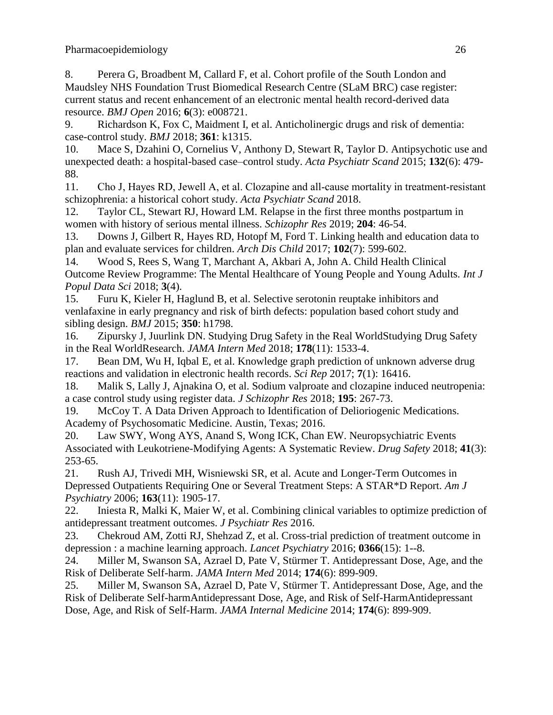8. Perera G, Broadbent M, Callard F, et al. Cohort profile of the South London and Maudsley NHS Foundation Trust Biomedical Research Centre (SLaM BRC) case register: current status and recent enhancement of an electronic mental health record-derived data resource. *BMJ Open* 2016; **6**(3): e008721.

9. Richardson K, Fox C, Maidment I, et al. Anticholinergic drugs and risk of dementia: case-control study. *BMJ* 2018; **361**: k1315.

10. Mace S, Dzahini O, Cornelius V, Anthony D, Stewart R, Taylor D. Antipsychotic use and unexpected death: a hospital-based case–control study. *Acta Psychiatr Scand* 2015; **132**(6): 479- 88.

11. Cho J, Hayes RD, Jewell A, et al. Clozapine and all-cause mortality in treatment-resistant schizophrenia: a historical cohort study. *Acta Psychiatr Scand* 2018.

12. Taylor CL, Stewart RJ, Howard LM. Relapse in the first three months postpartum in women with history of serious mental illness. *Schizophr Res* 2019; **204**: 46-54.

13. Downs J, Gilbert R, Hayes RD, Hotopf M, Ford T. Linking health and education data to plan and evaluate services for children. *Arch Dis Child* 2017; **102**(7): 599-602.

14. Wood S, Rees S, Wang T, Marchant A, Akbari A, John A. Child Health Clinical Outcome Review Programme: The Mental Healthcare of Young People and Young Adults. *Int J Popul Data Sci* 2018; **3**(4).

15. Furu K, Kieler H, Haglund B, et al. Selective serotonin reuptake inhibitors and venlafaxine in early pregnancy and risk of birth defects: population based cohort study and sibling design. *BMJ* 2015; **350**: h1798.

16. Zipursky J, Juurlink DN. Studying Drug Safety in the Real WorldStudying Drug Safety in the Real WorldResearch. *JAMA Intern Med* 2018; **178**(11): 1533-4.

17. Bean DM, Wu H, Iqbal E, et al. Knowledge graph prediction of unknown adverse drug reactions and validation in electronic health records. *Sci Rep* 2017; **7**(1): 16416.

18. Malik S, Lally J, Ajnakina O, et al. Sodium valproate and clozapine induced neutropenia: a case control study using register data. *J Schizophr Res* 2018; **195**: 267-73.

19. McCoy T. A Data Driven Approach to Identification of Delioriogenic Medications. Academy of Psychosomatic Medicine. Austin, Texas; 2016.

20. Law SWY, Wong AYS, Anand S, Wong ICK, Chan EW. Neuropsychiatric Events Associated with Leukotriene-Modifying Agents: A Systematic Review. *Drug Safety* 2018; **41**(3): 253-65.

21. Rush AJ, Trivedi MH, Wisniewski SR, et al. Acute and Longer-Term Outcomes in Depressed Outpatients Requiring One or Several Treatment Steps: A STAR\*D Report. *Am J Psychiatry* 2006; **163**(11): 1905-17.

22. Iniesta R, Malki K, Maier W, et al. Combining clinical variables to optimize prediction of antidepressant treatment outcomes. *J Psychiatr Res* 2016.

23. Chekroud AM, Zotti RJ, Shehzad Z, et al. Cross-trial prediction of treatment outcome in depression : a machine learning approach. *Lancet Psychiatry* 2016; **0366**(15): 1--8.

24. Miller M, Swanson SA, Azrael D, Pate V, Stürmer T. Antidepressant Dose, Age, and the Risk of Deliberate Self-harm. *JAMA Intern Med* 2014; **174**(6): 899-909.

25. Miller M, Swanson SA, Azrael D, Pate V, Stürmer T. Antidepressant Dose, Age, and the Risk of Deliberate Self-harmAntidepressant Dose, Age, and Risk of Self-HarmAntidepressant Dose, Age, and Risk of Self-Harm. *JAMA Internal Medicine* 2014; **174**(6): 899-909.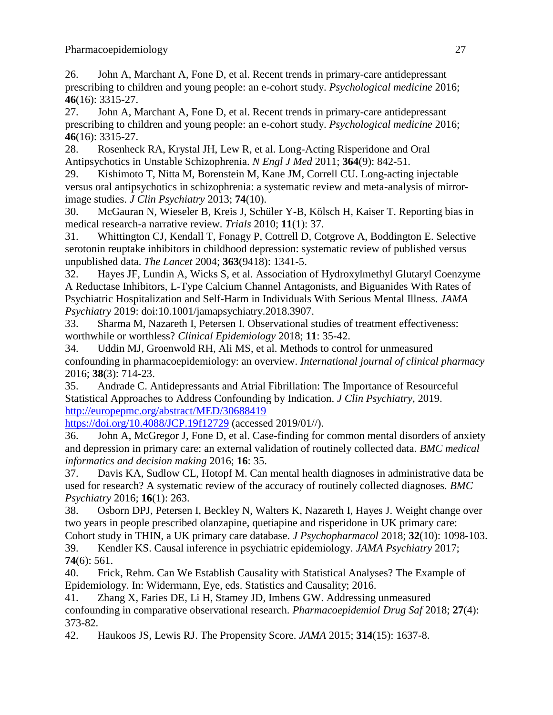26. John A, Marchant A, Fone D, et al. Recent trends in primary-care antidepressant prescribing to children and young people: an e-cohort study. *Psychological medicine* 2016; **46**(16): 3315-27.

27. John A, Marchant A, Fone D, et al. Recent trends in primary-care antidepressant prescribing to children and young people: an e-cohort study. *Psychological medicine* 2016; **46**(16): 3315-27.

28. Rosenheck RA, Krystal JH, Lew R, et al. Long-Acting Risperidone and Oral Antipsychotics in Unstable Schizophrenia. *N Engl J Med* 2011; **364**(9): 842-51.

29. Kishimoto T, Nitta M, Borenstein M, Kane JM, Correll CU. Long-acting injectable versus oral antipsychotics in schizophrenia: a systematic review and meta-analysis of mirrorimage studies. *J Clin Psychiatry* 2013; **74**(10).

30. McGauran N, Wieseler B, Kreis J, Schüler Y-B, Kölsch H, Kaiser T. Reporting bias in medical research-a narrative review. *Trials* 2010; **11**(1): 37.

31. Whittington CJ, Kendall T, Fonagy P, Cottrell D, Cotgrove A, Boddington E. Selective serotonin reuptake inhibitors in childhood depression: systematic review of published versus unpublished data. *The Lancet* 2004; **363**(9418): 1341-5.

32. Hayes JF, Lundin A, Wicks S, et al. Association of Hydroxylmethyl Glutaryl Coenzyme A Reductase Inhibitors, L-Type Calcium Channel Antagonists, and Biguanides With Rates of Psychiatric Hospitalization and Self-Harm in Individuals With Serious Mental Illness. *JAMA Psychiatry* 2019: doi:10.1001/jamapsychiatry.2018.3907.

33. Sharma M, Nazareth I, Petersen I. Observational studies of treatment effectiveness: worthwhile or worthless? *Clinical Epidemiology* 2018; **11**: 35-42.

34. Uddin MJ, Groenwold RH, Ali MS, et al. Methods to control for unmeasured confounding in pharmacoepidemiology: an overview. *International journal of clinical pharmacy* 2016; **38**(3): 714-23.

35. Andrade C. Antidepressants and Atrial Fibrillation: The Importance of Resourceful Statistical Approaches to Address Confounding by Indication. *J Clin Psychiatry*, 2019. <http://europepmc.org/abstract/MED/30688419>

<https://doi.org/10.4088/JCP.19f12729> (accessed 2019/01//).

36. John A, McGregor J, Fone D, et al. Case-finding for common mental disorders of anxiety and depression in primary care: an external validation of routinely collected data. *BMC medical informatics and decision making* 2016; **16**: 35.

37. Davis KA, Sudlow CL, Hotopf M. Can mental health diagnoses in administrative data be used for research? A systematic review of the accuracy of routinely collected diagnoses. *BMC Psychiatry* 2016; **16**(1): 263.

38. Osborn DPJ, Petersen I, Beckley N, Walters K, Nazareth I, Hayes J. Weight change over two years in people prescribed olanzapine, quetiapine and risperidone in UK primary care:

Cohort study in THIN, a UK primary care database. *J Psychopharmacol* 2018; **32**(10): 1098-103. 39. Kendler KS. Causal inference in psychiatric epidemiology. *JAMA Psychiatry* 2017; **74**(6): 561.

40. Frick, Rehm. Can We Establish Causality with Statistical Analyses? The Example of Epidemiology. In: Widermann, Eye, eds. Statistics and Causality; 2016.

41. Zhang X, Faries DE, Li H, Stamey JD, Imbens GW. Addressing unmeasured confounding in comparative observational research. *Pharmacoepidemiol Drug Saf* 2018; **27**(4): 373-82.

42. Haukoos JS, Lewis RJ. The Propensity Score. *JAMA* 2015; **314**(15): 1637-8.